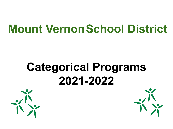### **Mount VernonSchool District**

## **Categorical Programs 2021-2022**



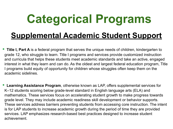### **Supplemental Academic Student Support**

- **• Title I, Part A** is a federal program that serves the unique needs of children, kindergarten to grade 12, who struggle to learn. Title I programs and services provide customized instruction and curricula that helps these students meet academic standards and take an active, engaged interest in what they learn and can do. As the oldest and largest federal education program, Title I programs build equity of opportunity for children whose struggles often keep them on the academic sidelines.
- **• Learning Assistance Program**, otherwise known as LAP, offers supplemental services for K–12 students scoring below grade-level standard in English language arts (ELA) and mathematics. These services focus on accelerating student growth to make progress towards grade level. They may include academic readiness skill development or behavior supports. These services address barriers preventing students from accessing core instruction. The intent is for LAP students to increase academic growth during the period of time they are provided services. LAP emphasizes research-based best practices designed to increase student achievement.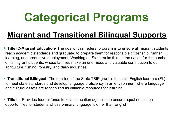### **Migrant and Transitional Bilingual Supports**

- **• Title IC-Migrant Education-** The goal of this federal program is to ensure all migrant students reach academic standards and graduate, to prepare them for responsible citizenship, further learning, and productive employment. Washington State ranks third in the nation for the number of its migrant students, whose families make an enormous and valuable contribution to our agriculture, fishing, forestry, and dairy industries.
- **• Transitional Bilingual-** The mission of the State TBIP grant is to assist English learners (EL) to meet state standards and develop language proficiency in an environment where language and cultural assets are recognized as valuable resources for learning.
- Title III- Provides federal funds to local education agencies to ensure equal education opportunities for students whose primary language is other than English.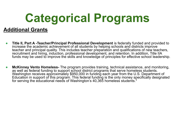#### **Additional Grants**

- **Title II, Part A -Teacher/Principal Professional Development** is federally funded and provided to increase the academic achievement of all students by helping schools and districts improve teacher and principal quality. This includes teacher preparation and qualifications of new teachers, recruitment and hiring, induction, professional development, and retention. In addition, Title IIA funds may be used to improve the skills and knowledge of principles for effective school leadership.
- **McKinney Vento Homeless-** The program provides training, technical assistance, and monitoring, as well as federal funding to support school district programs that serve homeless students. Washington receives approximately \$950,000 in funding each year from the U.S. Department of Education in support of this program. This federal funding is the only money specifically designated for serving the educational needs of Washington's 40,365 homeless students.\*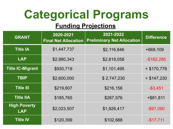#### **Funding Projections**

| <b>GRANT</b>                      | 2020-2021<br><b>Final Net Allocation</b> | 2021-2022<br><b>Preliminary Net Allocation</b> | <b>Difference</b> |
|-----------------------------------|------------------------------------------|------------------------------------------------|-------------------|
| <b>Title IA</b>                   | \$1,447,737                              | \$2,116,846                                    | +669,109          |
| <b>LAP</b>                        | \$2,980,343                              | \$2,818,058                                    | $-$162,285$       |
| <b>Title IC-Migrant</b>           | \$930,719                                | \$1,101,495                                    | $+$ \$170,776     |
| <b>TBIP</b>                       | \$2,600,000                              | \$2,747,230                                    | $+$ \$147,230     |
| <b>Title III</b>                  | \$219,607                                | \$216,156                                      | $-$ \$3,451       |
| <b>Title IIA</b>                  | \$185,765                                | \$267,576                                      | $+$ \$81,811      |
| <b>High Poverty</b><br><b>LAP</b> | \$2,023,507                              | \$1,926,417                                    | $-$ \$97,090      |
| <b>Title IV</b>                   | \$120,399                                | \$102,688                                      | $-$17,711$        |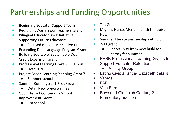### Partnerships and Funding Opportunities

- **Beginning Educator Support Team**
- **Recruiting Washington Teachers Grant**
- **Bilingual Educator Book Initiative:** Supporting Future Educators
	- Focused on equity inclusive title.
- **Expanding Dual Language Program Grant**
- **Building Equitable, Sustainable Dual** Credit Expansion Grant
- Professional Learning Grant SEL Focus ?
	- Details PE
- Project Based Learning Planning Grant ?
	- Summer school
- Summer Running Start Pilot Program
	- Detail New opportunities
- **OSSI: District Continuous School** Improvement Grant
	- List school
- **Ten Grant**
- Migrant Nurse, Mental health therapist-New
- Summer literacy partnership with CIS
- $7-11$  grant
	- Opportunity from new build for Literacy for summer
- **PESB Professional Learning Grants to** Support Educator Retention
	- **Affinity Group**
- Latino Civic alliance- Elizabeth details
- **Vamos**
- FAE
- **Viva Farms**
- Boys and Girls club Century 21 Elementary addition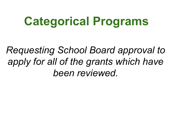*Requesting School Board approval to apply for all of the grants which have been reviewed.*